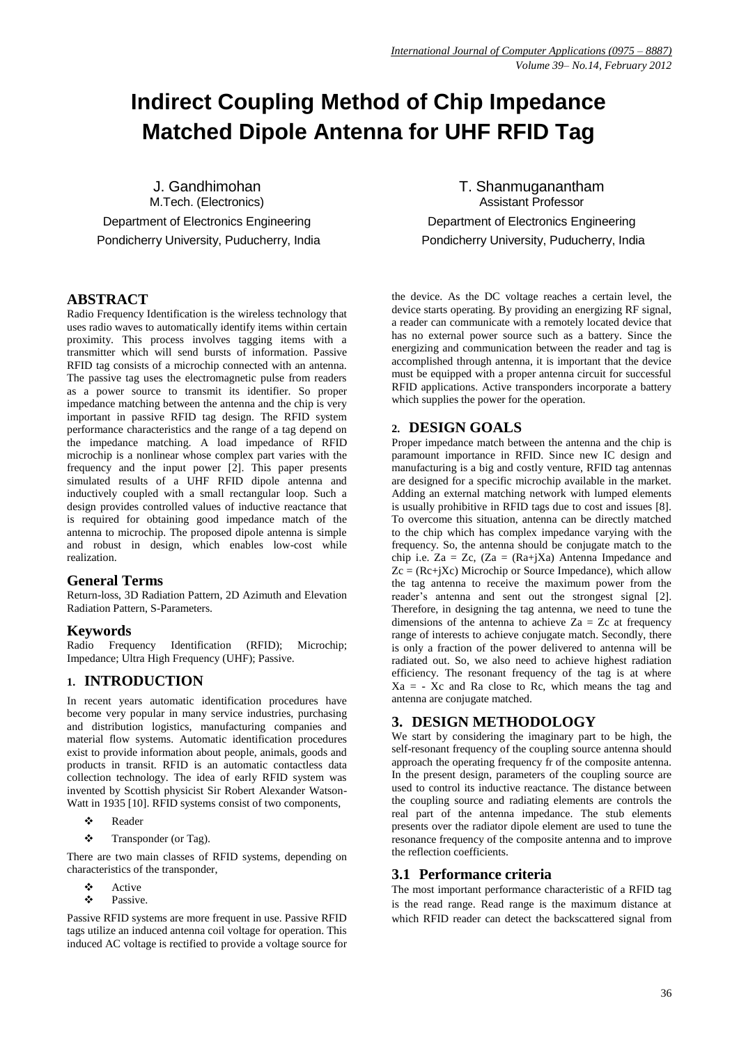# **Indirect Coupling Method of Chip Impedance Matched Dipole Antenna for UHF RFID Tag**

J. Gandhimohan M.Tech. (Electronics) Department of Electronics Engineering Pondicherry University, Puducherry, India

## **ABSTRACT**

Radio Frequency Identification is the wireless technology that uses radio waves to automatically identify items within certain proximity. This process involves tagging items with a transmitter which will send bursts of information. Passive RFID tag consists of a microchip connected with an antenna. The passive tag uses the electromagnetic pulse from readers as a power source to transmit its identifier. So proper impedance matching between the antenna and the chip is very important in passive RFID tag design. The RFID system performance characteristics and the range of a tag depend on the impedance matching. A load impedance of RFID microchip is a nonlinear whose complex part varies with the frequency and the input power [2]. This paper presents simulated results of a UHF RFID dipole antenna and inductively coupled with a small rectangular loop. Such a design provides controlled values of inductive reactance that is required for obtaining good impedance match of the antenna to microchip. The proposed dipole antenna is simple and robust in design, which enables low-cost while realization.

# **General Terms**

Return-loss, 3D Radiation Pattern, 2D Azimuth and Elevation Radiation Pattern, S-Parameters.

## **Keywords**

Radio Frequency Identification (RFID); Microchip; Impedance; Ultra High Frequency (UHF); Passive.

# **1. INTRODUCTION**

In recent years automatic identification procedures have become very popular in many service industries, purchasing and distribution logistics, manufacturing companies and material flow systems. Automatic identification procedures exist to provide information about people, animals, goods and products in transit. RFID is an automatic contactless data collection technology. The idea of early RFID system was invented by Scottish physicist Sir Robert Alexander Watson-Watt in 1935 [10]. RFID systems consist of two components,

- Reader
- \* Transponder (or Tag).

There are two main classes of RFID systems, depending on characteristics of the transponder,

- Active
- Passive.

Passive RFID systems are more frequent in use. Passive RFID tags utilize an induced antenna coil voltage for operation. This induced AC voltage is rectified to provide a voltage source for

T. Shanmuganantham Assistant Professor Department of Electronics Engineering Pondicherry University, Puducherry, India

the device. As the DC voltage reaches a certain level, the device starts operating. By providing an energizing RF signal, a reader can communicate with a remotely located device that has no external power source such as a battery. Since the energizing and communication between the reader and tag is accomplished through antenna, it is important that the device must be equipped with a proper antenna circuit for successful RFID applications. Active transponders incorporate a battery which supplies the power for the operation.

## **2. DESIGN GOALS**

Proper impedance match between the antenna and the chip is paramount importance in RFID. Since new IC design and manufacturing is a big and costly venture, RFID tag antennas are designed for a specific microchip available in the market. Adding an external matching network with lumped elements is usually prohibitive in RFID tags due to cost and issues [8]. To overcome this situation, antenna can be directly matched to the chip which has complex impedance varying with the frequency. So, the antenna should be conjugate match to the chip i.e. Za = Zc, (Za =  $(Ra+jXa)$  Antenna Impedance and  $Z_c = (Rc+iXc)$  Microchip or Source Impedance), which allow the tag antenna to receive the maximum power from the reader's antenna and sent out the strongest signal [2]. Therefore, in designing the tag antenna, we need to tune the dimensions of the antenna to achieve  $Z_a = Z_c$  at frequency range of interests to achieve conjugate match. Secondly, there is only a fraction of the power delivered to antenna will be radiated out. So, we also need to achieve highest radiation efficiency. The resonant frequency of the tag is at where  $Xa = -Xc$  and Ra close to Rc, which means the tag and antenna are conjugate matched.

# **3. DESIGN METHODOLOGY**

We start by considering the imaginary part to be high, the self-resonant frequency of the coupling source antenna should approach the operating frequency fr of the composite antenna. In the present design, parameters of the coupling source are used to control its inductive reactance. The distance between the coupling source and radiating elements are controls the real part of the antenna impedance. The stub elements presents over the radiator dipole element are used to tune the resonance frequency of the composite antenna and to improve the reflection coefficients.

## **3.1 Performance criteria**

The most important performance characteristic of a RFID tag is the read range. Read range is the maximum distance at which RFID reader can detect the backscattered signal from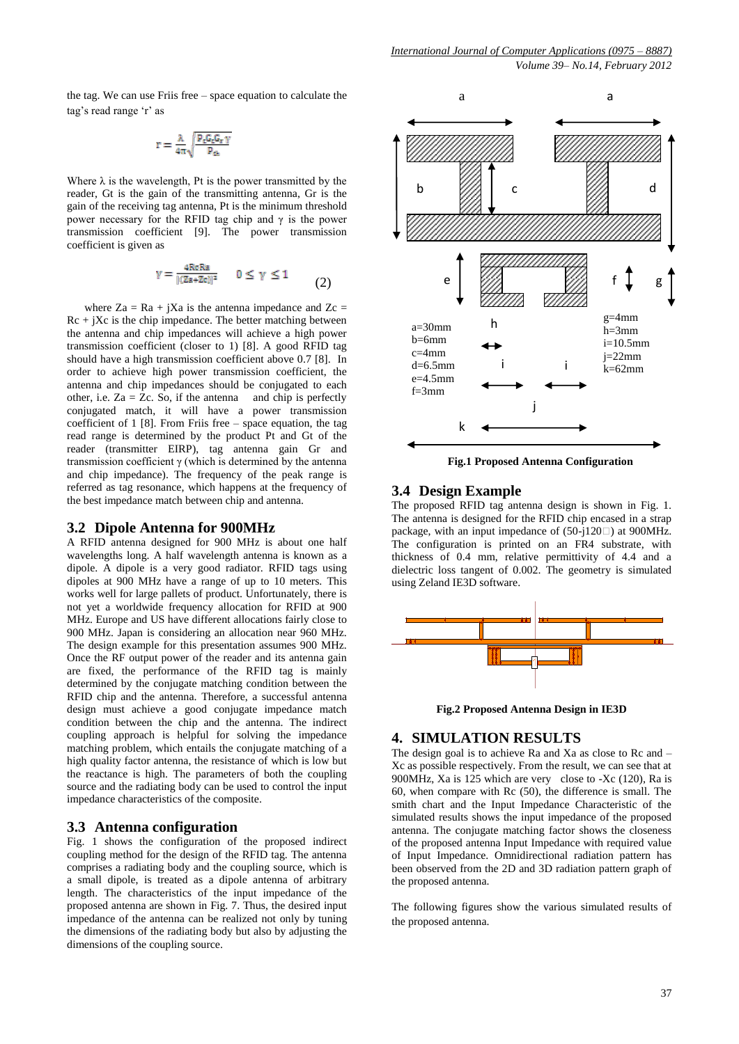the tag. We can use Friis free – space equation to calculate the tag's read range 'r' as

$$
r=\frac{\lambda}{4\pi\sqrt{\frac{P_cG_cG_v\,\gamma}{P_{ch}}}}
$$

Where  $\lambda$  is the wavelength, Pt is the power transmitted by the reader, Gt is the gain of the transmitting antenna, Gr is the gain of the receiving tag antenna, Pt is the minimum threshold power necessary for the RFID tag chip and  $\gamma$  is the power transmission coefficient [9]. The power transmission coefficient is given as

$$
\gamma = \frac{4\text{Re}\,\text{Ra}}{|(Za + Zc)|^2} \qquad 0 \le \gamma \le 1 \tag{2}
$$

where  $Za = Ra + iXa$  is the antenna impedance and  $Zc =$  $Rc + iXc$  is the chip impedance. The better matching between the antenna and chip impedances will achieve a high power transmission coefficient (closer to 1) [8]. A good RFID tag should have a high transmission coefficient above 0.7 [8]. In order to achieve high power transmission coefficient, the antenna and chip impedances should be conjugated to each other, i.e.  $Za = \overline{Z}c$ . So, if the antenna and chip is perfectly conjugated match, it will have a power transmission coefficient of  $1 \times 8$ . From Friis free – space equation, the tag read range is determined by the product Pt and Gt of the reader (transmitter EIRP), tag antenna gain Gr and transmission coefficient γ (which is determined by the antenna and chip impedance). The frequency of the peak range is referred as tag resonance, which happens at the frequency of the best impedance match between chip and antenna.

#### **3.2 Dipole Antenna for 900MHz**

A RFID antenna designed for 900 MHz is about one half wavelengths long. A half wavelength antenna is known as a dipole. A dipole is a very good radiator. RFID tags using dipoles at 900 MHz have a range of up to 10 meters. This works well for large pallets of product. Unfortunately, there is not yet a worldwide frequency allocation for RFID at 900 MHz. Europe and US have different allocations fairly close to 900 MHz. Japan is considering an allocation near 960 MHz. The design example for this presentation assumes 900 MHz. Once the RF output power of the reader and its antenna gain are fixed, the performance of the RFID tag is mainly determined by the conjugate matching condition between the RFID chip and the antenna. Therefore, a successful antenna design must achieve a good conjugate impedance match condition between the chip and the antenna. The indirect coupling approach is helpful for solving the impedance matching problem, which entails the conjugate matching of a high quality factor antenna, the resistance of which is low but the reactance is high. The parameters of both the coupling source and the radiating body can be used to control the input impedance characteristics of the composite.

#### **3.3 Antenna configuration**

Fig. 1 shows the configuration of the proposed indirect coupling method for the design of the RFID tag. The antenna comprises a radiating body and the coupling source, which is a small dipole, is treated as a dipole antenna of arbitrary length. The characteristics of the input impedance of the proposed antenna are shown in Fig. 7. Thus, the desired input impedance of the antenna can be realized not only by tuning the dimensions of the radiating body but also by adjusting the dimensions of the coupling source.



**Fig.1 Proposed Antenna Configuration**

#### **3.4 Design Example**

The proposed RFID tag antenna design is shown in Fig. 1. The antenna is designed for the RFID chip encased in a strap package, with an input impedance of  $(50-j120 \square)$  at 900MHz. The configuration is printed on an FR4 substrate, with thickness of 0.4 mm, relative permittivity of 4.4 and a dielectric loss tangent of 0.002. The geometry is simulated using Zeland IE3D software.



**Fig.2 Proposed Antenna Design in IE3D**

#### **4. SIMULATION RESULTS**

The design goal is to achieve Ra and Xa as close to Rc and  $-$ Xc as possible respectively. From the result, we can see that at 900MHz, Xa is 125 which are very close to -Xc (120), Ra is 60, when compare with Rc (50), the difference is small. The smith chart and the Input Impedance Characteristic of the simulated results shows the input impedance of the proposed antenna. The conjugate matching factor shows the closeness of the proposed antenna Input Impedance with required value of Input Impedance. Omnidirectional radiation pattern has been observed from the 2D and 3D radiation pattern graph of the proposed antenna.

The following figures show the various simulated results of the proposed antenna.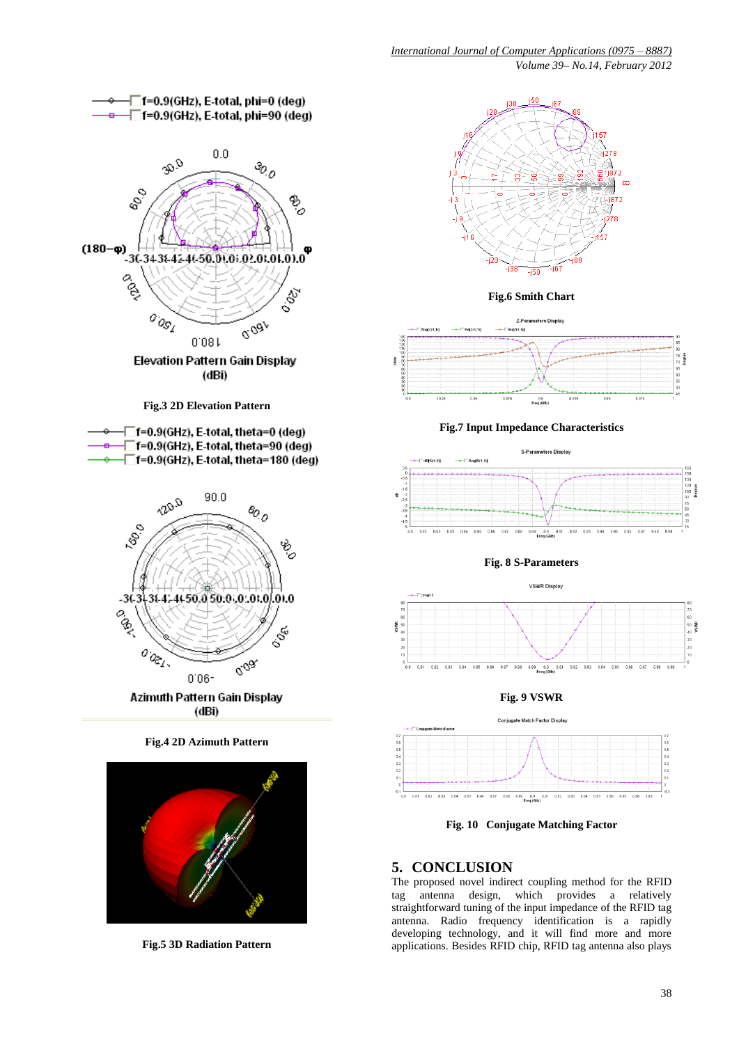

**Fig.6 Smith Chart** Z-Parameters Display



**Fig.7 Input Impedance Characteristics**



**Fig. 8 S-Parameters**



**Fig. 9 VSWR**



**Fig. 10 Conjugate Matching Factor**

# **5. CONCLUSION**

The proposed novel indirect coupling method for the RFID tag antenna design, which provides a relatively straightforward tuning of the input impedance of the RFID tag antenna. Radio frequency identification is a rapidly developing technology, and it will find more and more applications. Besides RFID chip, RFID tag antenna also plays

**Fig.5 3D Radiation Pattern**